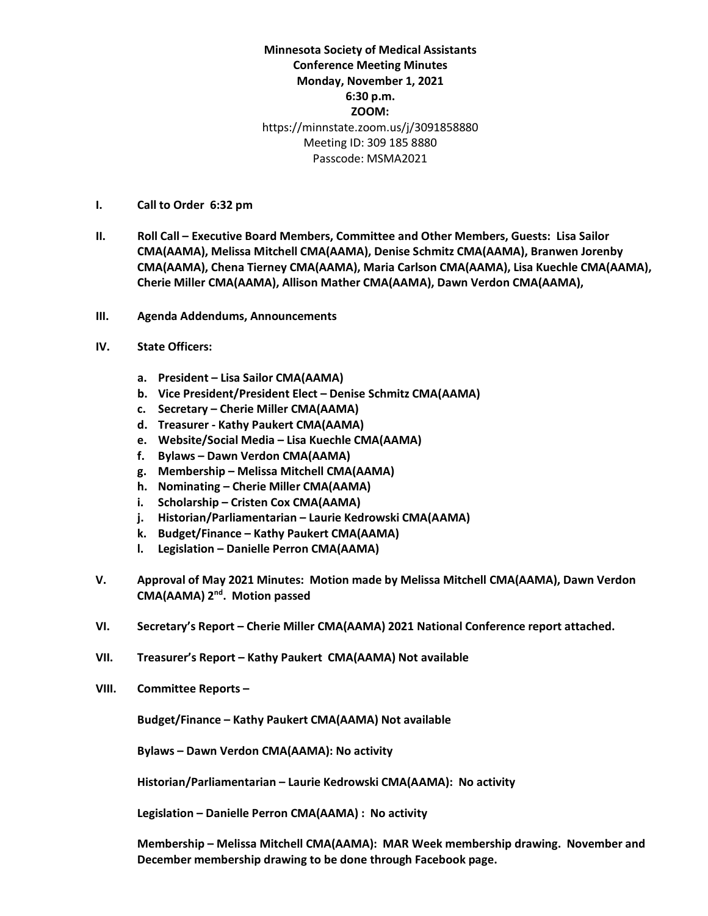**Minnesota Society of Medical Assistants Conference Meeting Minutes Monday, November 1, 2021 6:30 p.m. ZOOM:** https://minnstate.zoom.us/j/3091858880 Meeting ID: 309 185 8880 Passcode: MSMA2021

- **I. Call to Order 6:32 pm**
- **II. Roll Call – Executive Board Members, Committee and Other Members, Guests: Lisa Sailor CMA(AAMA), Melissa Mitchell CMA(AAMA), Denise Schmitz CMA(AAMA), Branwen Jorenby CMA(AAMA), Chena Tierney CMA(AAMA), Maria Carlson CMA(AAMA), Lisa Kuechle CMA(AAMA), Cherie Miller CMA(AAMA), Allison Mather CMA(AAMA), Dawn Verdon CMA(AAMA),**
- **III. Agenda Addendums, Announcements**
- **IV. State Officers:**
	- **a. President – Lisa Sailor CMA(AAMA)**
	- **b. Vice President/President Elect – Denise Schmitz CMA(AAMA)**
	- **c. Secretary – Cherie Miller CMA(AAMA)**
	- **d. Treasurer - Kathy Paukert CMA(AAMA)**
	- **e. Website/Social Media – Lisa Kuechle CMA(AAMA)**
	- **f. Bylaws – Dawn Verdon CMA(AAMA)**
	- **g. Membership – Melissa Mitchell CMA(AAMA)**
	- **h. Nominating – Cherie Miller CMA(AAMA)**
	- **i. Scholarship – Cristen Cox CMA(AAMA)**
	- **j. Historian/Parliamentarian – Laurie Kedrowski CMA(AAMA)**
	- **k. Budget/Finance – Kathy Paukert CMA(AAMA)**
	- **l. Legislation – Danielle Perron CMA(AAMA)**
- **V. Approval of May 2021 Minutes: Motion made by Melissa Mitchell CMA(AAMA), Dawn Verdon CMA(AAMA) 2nd. Motion passed**
- **VI. Secretary's Report – Cherie Miller CMA(AAMA) 2021 National Conference report attached.**
- **VII. Treasurer's Report – Kathy Paukert CMA(AAMA) Not available**
- **VIII. Committee Reports –**

**Budget/Finance – Kathy Paukert CMA(AAMA) Not available**

**Bylaws – Dawn Verdon CMA(AAMA): No activity**

**Historian/Parliamentarian – Laurie Kedrowski CMA(AAMA): No activity**

**Legislation – Danielle Perron CMA(AAMA) : No activity**

**Membership – Melissa Mitchell CMA(AAMA): MAR Week membership drawing. November and December membership drawing to be done through Facebook page.**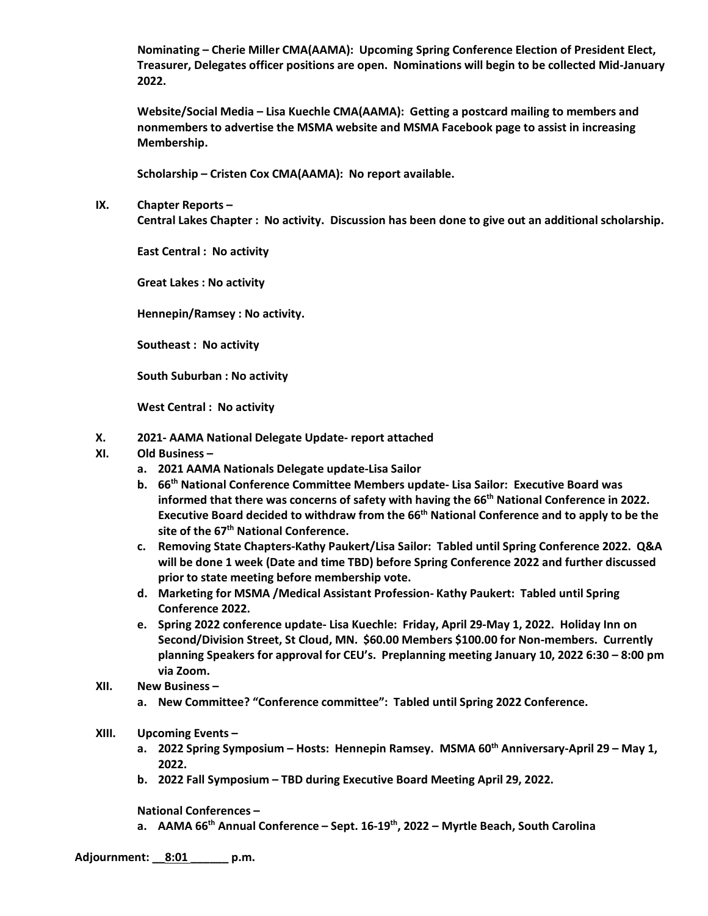**Nominating – Cherie Miller CMA(AAMA): Upcoming Spring Conference Election of President Elect, Treasurer, Delegates officer positions are open. Nominations will begin to be collected Mid-January 2022.** 

**Website/Social Media – Lisa Kuechle CMA(AAMA): Getting a postcard mailing to members and nonmembers to advertise the MSMA website and MSMA Facebook page to assist in increasing Membership.**

**Scholarship – Cristen Cox CMA(AAMA): No report available.**

**IX. Chapter Reports –**

**Central Lakes Chapter : No activity. Discussion has been done to give out an additional scholarship.**

**East Central : No activity**

**Great Lakes : No activity**

**Hennepin/Ramsey : No activity.** 

**Southeast : No activity**

**South Suburban : No activity**

**West Central : No activity**

- **X. 2021- AAMA National Delegate Update- report attached**
- **XI. Old Business –**
	- **a. 2021 AAMA Nationals Delegate update-Lisa Sailor**
	- **b. 66th National Conference Committee Members update- Lisa Sailor: Executive Board was**  informed that there was concerns of safety with having the 66<sup>th</sup> National Conference in 2022. **Executive Board decided to withdraw from the 66th National Conference and to apply to be the site of the 67th National Conference.**
	- **c. Removing State Chapters-Kathy Paukert/Lisa Sailor: Tabled until Spring Conference 2022. Q&A will be done 1 week (Date and time TBD) before Spring Conference 2022 and further discussed prior to state meeting before membership vote.**
	- **d. Marketing for MSMA /Medical Assistant Profession- Kathy Paukert: Tabled until Spring Conference 2022.**
	- **e. Spring 2022 conference update- Lisa Kuechle: Friday, April 29-May 1, 2022. Holiday Inn on Second/Division Street, St Cloud, MN. \$60.00 Members \$100.00 for Non-members. Currently planning Speakers for approval for CEU's. Preplanning meeting January 10, 2022 6:30 – 8:00 pm via Zoom.**
- **XII. New Business –**
	- **a. New Committee? "Conference committee": Tabled until Spring 2022 Conference.**
- **XIII. Upcoming Events –**
	- **a. 2022 Spring Symposium – Hosts: Hennepin Ramsey. MSMA 60th Anniversary-April 29 – May 1, 2022.**
	- **b. 2022 Fall Symposium – TBD during Executive Board Meeting April 29, 2022.**

**National Conferences –**

**a. AAMA 66th Annual Conference – Sept. 16-19th, 2022 – Myrtle Beach, South Carolina**

**Adjournment: \_\_8:01 \_\_\_\_\_\_ p.m.**